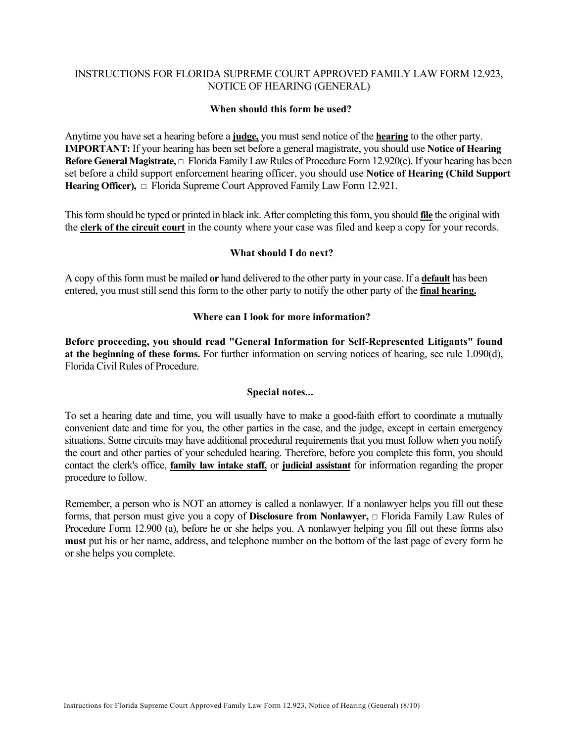# INSTRUCTIONS FOR FLORIDA SUPREME COURT APPROVED FAMILY LAW FORM 12.923, NOTICE OF HEARING (GENERAL)

#### **When should this form be used?**

Anytime you have set a hearing before a **judge,** you must send notice of the **hearing** to the other party. **IMPORTANT:** If your hearing has been set before a general magistrate, you should use **Notice of Hearing Before General Magistrate, □** Florida Family Law Rules of Procedure Form 12.920(c). If your hearing has been set before a child support enforcement hearing officer, you should use **Notice of Hearing (Child Support Hearing Officer), □** Florida Supreme Court Approved Family Law Form 12.921.

This form should be typed or printed in black ink. After completing this form, you should **file** the original with the **clerk of the circuit court** in the county where your case was filed and keep a copy for your records.

## **What should I do next?**

A copy of this form must be mailed **or** hand delivered to the other party in your case. If a **default** has been entered, you must still send this form to the other party to notify the other party of the **final hearing.**

#### **Where can I look for more information?**

**Before proceeding, you should read "General Information for Self-Represented Litigants" found at the beginning of these forms.** For further information on serving notices of hearing, see rule 1.090(d), Florida Civil Rules of Procedure.

## **Special notes...**

To set a hearing date and time, you will usually have to make a good-faith effort to coordinate a mutually convenient date and time for you, the other parties in the case, and the judge, except in certain emergency situations. Some circuits may have additional procedural requirements that you must follow when you notify the court and other parties of your scheduled hearing. Therefore, before you complete this form, you should contact the clerk's office, **family law intake staff,** or **judicial assistant** for information regarding the proper procedure to follow.

Remember, a person who is NOT an attorney is called a nonlawyer. If a nonlawyer helps you fill out these forms, that person must give you a copy of **Disclosure from Nonlawyer, □** Florida Family Law Rules of Procedure Form 12.900 (a), before he or she helps you. A nonlawyer helping you fill out these forms also **must** put his or her name, address, and telephone number on the bottom of the last page of every form he or she helps you complete.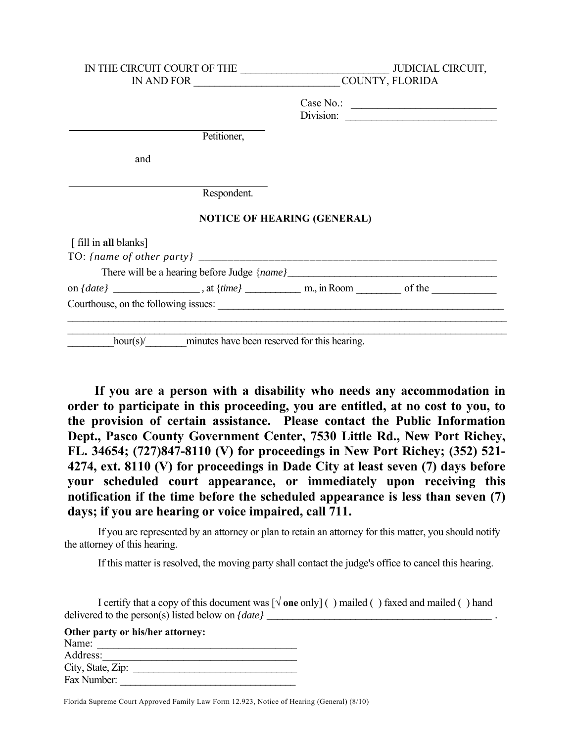|                                                       |                                    | JUDICIAL CIRCUIT,      |  |
|-------------------------------------------------------|------------------------------------|------------------------|--|
| IN AND FOR COUNTY, FLORIDA                            |                                    |                        |  |
|                                                       |                                    | Case No.:<br>Division: |  |
| Petitioner,                                           |                                    |                        |  |
| and                                                   |                                    |                        |  |
| Respondent.                                           |                                    |                        |  |
|                                                       | <b>NOTICE OF HEARING (GENERAL)</b> |                        |  |
| [fill in all blanks]                                  |                                    |                        |  |
|                                                       |                                    |                        |  |
|                                                       |                                    |                        |  |
|                                                       |                                    |                        |  |
|                                                       |                                    |                        |  |
|                                                       |                                    |                        |  |
| hour(s)/ minutes have been reserved for this hearing. |                                    |                        |  |

**If you are a person with a disability who needs any accommodation in order to participate in this proceeding, you are entitled, at no cost to you, to the provision of certain assistance. Please contact the Public Information Dept., Pasco County Government Center, 7530 Little Rd., New Port Richey, FL. 34654; (727)847-8110 (V) for proceedings in New Port Richey; (352) 521- 4274, ext. 8110 (V) for proceedings in Dade City at least seven (7) days before your scheduled court appearance, or immediately upon receiving this notification if the time before the scheduled appearance is less than seven (7) days; if you are hearing or voice impaired, call 711.**

If you are represented by an attorney or plan to retain an attorney for this matter, you should notify the attorney of this hearing.

If this matter is resolved, the moving party shall contact the judge's office to cancel this hearing.

I certify that a copy of this document was [√ **one** only] ( ) mailed ( ) faxed and mailed ( ) hand delivered to the person(s) listed below on *{date} \_\_\_\_\_\_\_\_\_\_\_\_\_\_\_\_\_\_\_\_\_\_\_\_\_\_\_\_\_\_\_\_\_\_\_\_\_\_\_\_\_\_\_ .* 

| Other party or his/her attorney: |  |  |  |
|----------------------------------|--|--|--|
| Name:                            |  |  |  |
| Address:                         |  |  |  |
| City, State, Zip:                |  |  |  |
| Fax Number:                      |  |  |  |

Florida Supreme Court Approved Family Law Form 12.923, Notice of Hearing (General) (8/10)